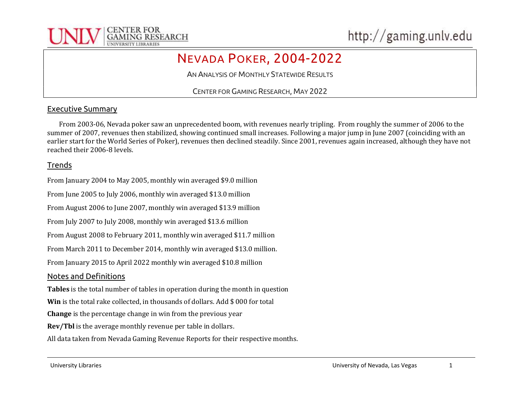

# NEVADA POKER, 2004-2022

AN ANALYSIS OF MONTHLY STATEWIDE RESULTS

CENTER FOR GAMING RESEARCH, MAY 2022

## Executive Summary

 From 2003-06, Nevada poker saw an unprecedented boom, with revenues nearly tripling. From roughly the summer of 2006 to the summer of 2007, revenues then stabilized, showing continued small increases. Following a major jump in June 2007 (coinciding with an earlier start for the World Series of Poker), revenues then declined steadily. Since 2001, revenues again increased, although they have not reached their 2006-8 levels.

#### Trends

From January 2004 to May 2005, monthly win averaged \$9.0 million

From June 2005 to July 2006, monthly win averaged \$13.0 million

From August 2006 to June 2007, monthly win averaged \$13.9 million

From July 2007 to July 2008, monthly win averaged \$13.6 million

From August 2008 to February 2011, monthly win averaged \$11.7 million

From March 2011 to December 2014, monthly win averaged \$13.0 million.

From January 2015 to April 2022 monthly win averaged \$10.8 million

#### Notes and Definitions

Tables is the total number of tables in operation during the month in question

Win is the total rake collected, in thousands of dollars. Add \$ 000 for total

Change is the percentage change in win from the previous year

Rev/Tbl is the average monthly revenue per table in dollars.

All data taken from Nevada Gaming Revenue Reports for their respective months.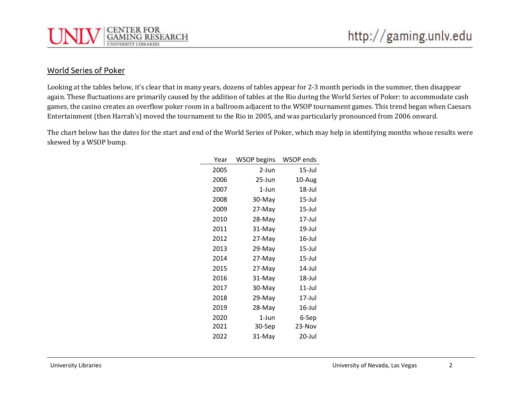

### World Series of Poker

Looking at the tables below, it's clear that in many years, dozens of tables appear for 2-3 month periods in the summer, then disappear again. These fluctuations are primarily caused by the addition of tables at the Rio during the World Series of Poker: to accommodate cash games, the casino creates an overflow poker room in a ballroom adjacent to the WSOP tournament games. This trend began when Caesars Entertainment (then Harrah's) moved the tournament to the Rio in 2005, and was particularly pronounced from 2006 onward.

The chart below has the dates for the start and end of the World Series of Poker, which may help in identifying months whose results were skewed by a WSOP bump.

| Year | <b>WSOP begins</b> | WSOP ends |
|------|--------------------|-----------|
| 2005 | 2-Jun              | 15-Jul    |
| 2006 | 25-Jun             | 10-Aug    |
| 2007 | 1-Jun              | 18-Jul    |
| 2008 | 30-May             | 15-Jul    |
| 2009 | 27-May             | 15-Jul    |
| 2010 | 28-May             | 17-Jul    |
| 2011 | 31-May             | 19-Jul    |
| 2012 | 27-May             | 16-Jul    |
| 2013 | 29-May             | 15-Jul    |
| 2014 | 27-May             | 15-Jul    |
| 2015 | 27-May             | 14-Jul    |
| 2016 | 31-May             | 18-Jul    |
| 2017 | 30-May             | 11-Jul    |
| 2018 | 29-May             | 17-Jul    |
| 2019 | 28-May             | $16$ -Jul |
| 2020 | 1-Jun              | 6-Sep     |
| 2021 | 30-Sep             | 23-Nov    |
| 2022 | 31-May             | 20-Jul    |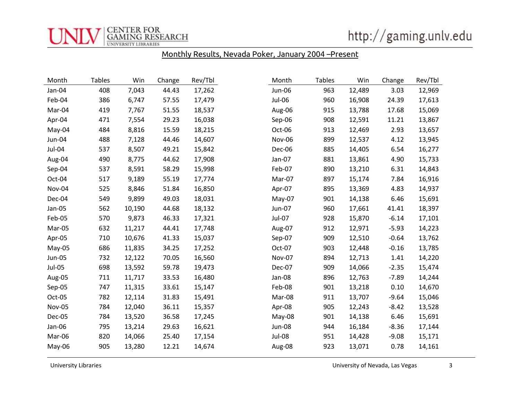

http://gaming.unlv.edu

## Monthly Results, Nevada Poker, January 2004 –Present

| Month         | <b>Tables</b> | Win    | Change | Rev/Tbl | Month  | <b>Tables</b> | Win    | Change  | Rev/Tbl |
|---------------|---------------|--------|--------|---------|--------|---------------|--------|---------|---------|
| Jan-04        | 408           | 7,043  | 44.43  | 17,262  | Jun-06 | 963           | 12,489 | 3.03    | 12,969  |
| Feb-04        | 386           | 6,747  | 57.55  | 17,479  | Jul-06 | 960           | 16,908 | 24.39   | 17,613  |
| Mar-04        | 419           | 7,767  | 51.55  | 18,537  | Aug-06 | 915           | 13,788 | 17.68   | 15,069  |
| Apr-04        | 471           | 7,554  | 29.23  | 16,038  | Sep-06 | 908           | 12,591 | 11.21   | 13,867  |
| May-04        | 484           | 8,816  | 15.59  | 18,215  | Oct-06 | 913           | 12,469 | 2.93    | 13,657  |
| Jun-04        | 488           | 7,128  | 44.46  | 14,607  | Nov-06 | 899           | 12,537 | 4.12    | 13,945  |
| Jul-04        | 537           | 8,507  | 49.21  | 15,842  | Dec-06 | 885           | 14,405 | 6.54    | 16,277  |
| Aug-04        | 490           | 8,775  | 44.62  | 17,908  | Jan-07 | 881           | 13,861 | 4.90    | 15,733  |
| Sep-04        | 537           | 8,591  | 58.29  | 15,998  | Feb-07 | 890           | 13,210 | 6.31    | 14,843  |
| Oct-04        | 517           | 9,189  | 55.19  | 17,774  | Mar-07 | 897           | 15,174 | 7.84    | 16,916  |
| Nov-04        | 525           | 8,846  | 51.84  | 16,850  | Apr-07 | 895           | 13,369 | 4.83    | 14,937  |
| Dec-04        | 549           | 9,899  | 49.03  | 18,031  | May-07 | 901           | 14,138 | 6.46    | 15,691  |
| Jan-05        | 562           | 10,190 | 44.68  | 18,132  | Jun-07 | 960           | 17,661 | 41.41   | 18,397  |
| Feb-05        | 570           | 9,873  | 46.33  | 17,321  | Jul-07 | 928           | 15,870 | $-6.14$ | 17,101  |
| Mar-05        | 632           | 11,217 | 44.41  | 17,748  | Aug-07 | 912           | 12,971 | $-5.93$ | 14,223  |
| Apr-05        | 710           | 10,676 | 41.33  | 15,037  | Sep-07 | 909           | 12,510 | $-0.64$ | 13,762  |
| May-05        | 686           | 11,835 | 34.25  | 17,252  | Oct-07 | 903           | 12,448 | $-0.16$ | 13,785  |
| <b>Jun-05</b> | 732           | 12,122 | 70.05  | 16,560  | Nov-07 | 894           | 12,713 | 1.41    | 14,220  |
| Jul-05        | 698           | 13,592 | 59.78  | 19,473  | Dec-07 | 909           | 14,066 | $-2.35$ | 15,474  |
| Aug-05        | 711           | 11,717 | 33.53  | 16,480  | Jan-08 | 896           | 12,763 | $-7.89$ | 14,244  |
| Sep-05        | 747           | 11,315 | 33.61  | 15,147  | Feb-08 | 901           | 13,218 | 0.10    | 14,670  |
| Oct-05        | 782           | 12,114 | 31.83  | 15,491  | Mar-08 | 911           | 13,707 | $-9.64$ | 15,046  |
| Nov-05        | 784           | 12,040 | 36.11  | 15,357  | Apr-08 | 905           | 12,243 | $-8.42$ | 13,528  |
| Dec-05        | 784           | 13,520 | 36.58  | 17,245  | May-08 | 901           | 14,138 | 6.46    | 15,691  |
| Jan-06        | 795           | 13,214 | 29.63  | 16,621  | Jun-08 | 944           | 16,184 | $-8.36$ | 17,144  |
| Mar-06        | 820           | 14,066 | 25.40  | 17,154  | Jul-08 | 951           | 14,428 | $-9.08$ | 15,171  |
| May-06        | 905           | 13,280 | 12.21  | 14,674  | Aug-08 | 923           | 13,071 | 0.78    | 14,161  |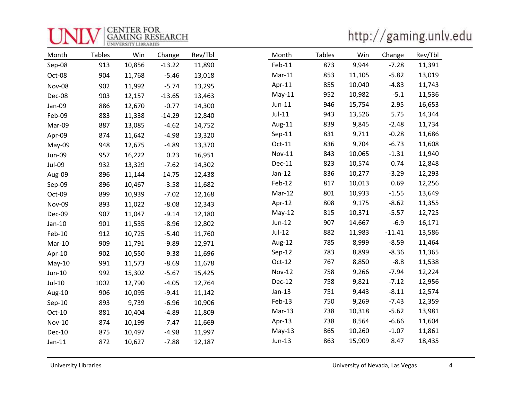| INIV GAMING RESI<br><b>GAMING RESEARCH</b> |
|--------------------------------------------|
|                                            |

http://gaming.unlv.edu

| Month         | <b>Tables</b> | Win    | Change   | Rev/Tbl | Month         | <b>Tables</b> | Win    | Change   | Rev/Tbl |
|---------------|---------------|--------|----------|---------|---------------|---------------|--------|----------|---------|
| Sep-08        | 913           | 10,856 | $-13.22$ | 11,890  | Feb-11        | 873           | 9,944  | $-7.28$  | 11,391  |
| Oct-08        | 904           | 11,768 | $-5.46$  | 13,018  | $Mar-11$      | 853           | 11,105 | $-5.82$  | 13,019  |
| Nov-08        | 902           | 11,992 | $-5.74$  | 13,295  | Apr-11        | 855           | 10,040 | $-4.83$  | 11,743  |
| Dec-08        | 903           | 12,157 | $-13.65$ | 13,463  | $May-11$      | 952           | 10,982 | $-5.1$   | 11,536  |
| Jan-09        | 886           | 12,670 | $-0.77$  | 14,300  | $Jun-11$      | 946           | 15,754 | 2.95     | 16,653  |
| Feb-09        | 883           | 11,338 | $-14.29$ | 12,840  | $Jul-11$      | 943           | 13,526 | 5.75     | 14,344  |
| Mar-09        | 887           | 13,085 | $-4.62$  | 14,752  | Aug-11        | 839           | 9,845  | $-2.48$  | 11,734  |
| Apr-09        | 874           | 11,642 | $-4.98$  | 13,320  | $Sep-11$      | 831           | 9,711  | $-0.28$  | 11,686  |
| May-09        | 948           | 12,675 | $-4.89$  | 13,370  | Oct-11        | 836           | 9,704  | $-6.73$  | 11,608  |
| Jun-09        | 957           | 16,222 | 0.23     | 16,951  | Nov-11        | 843           | 10,065 | $-1.31$  | 11,940  |
| Jul-09        | 932           | 13,329 | $-7.62$  | 14,302  | Dec-11        | 823           | 10,574 | 0.74     | 12,848  |
| Aug-09        | 896           | 11,144 | $-14.75$ | 12,438  | $Jan-12$      | 836           | 10,277 | $-3.29$  | 12,293  |
| Sep-09        | 896           | 10,467 | $-3.58$  | 11,682  | Feb-12        | 817           | 10,013 | 0.69     | 12,256  |
| Oct-09        | 899           | 10,939 | $-7.02$  | 12,168  | Mar-12        | 801           | 10,933 | $-1.55$  | 13,649  |
| Nov-09        | 893           | 11,022 | $-8.08$  | 12,343  | Apr-12        | 808           | 9,175  | $-8.62$  | 11,355  |
| Dec-09        | 907           | 11,047 | $-9.14$  | 12,180  | $May-12$      | 815           | 10,371 | $-5.57$  | 12,725  |
| Jan-10        | 901           | 11,535 | $-8.96$  | 12,802  | Jun-12        | 907           | 14,667 | $-6.9$   | 16,171  |
| Feb-10        | 912           | 10,725 | $-5.40$  | 11,760  | $Jul-12$      | 882           | 11,983 | $-11.41$ | 13,586  |
| Mar-10        | 909           | 11,791 | $-9.89$  | 12,971  | Aug-12        | 785           | 8,999  | $-8.59$  | 11,464  |
| Apr-10        | 902           | 10,550 | $-9.38$  | 11,696  | $Sep-12$      | 783           | 8,899  | $-8.36$  | 11,365  |
| $May-10$      | 991           | 11,573 | $-8.69$  | 11,678  | $Oct-12$      | 767           | 8,850  | $-8.8$   | 11,538  |
| Jun-10        | 992           | 15,302 | $-5.67$  | 15,425  | <b>Nov-12</b> | 758           | 9,266  | $-7.94$  | 12,224  |
| Jul-10        | 1002          | 12,790 | $-4.05$  | 12,764  | Dec-12        | 758           | 9,821  | $-7.12$  | 12,956  |
| Aug-10        | 906           | 10,095 | $-9.41$  | 11,142  | $Jan-13$      | 751           | 9,443  | $-8.11$  | 12,574  |
| Sep-10        | 893           | 9,739  | $-6.96$  | 10,906  | Feb-13        | 750           | 9,269  | $-7.43$  | 12,359  |
| Oct-10        | 881           | 10,404 | $-4.89$  | 11,809  | $Mar-13$      | 738           | 10,318 | $-5.62$  | 13,981  |
| <b>Nov-10</b> | 874           | 10,199 | $-7.47$  | 11,669  | Apr-13        | 738           | 8,564  | $-6.66$  | 11,604  |
| <b>Dec-10</b> | 875           | 10,497 | $-4.98$  | 11,997  | $May-13$      | 865           | 10,260 | $-1.07$  | 11,861  |
| $Jan-11$      | 872           | 10,627 | $-7.88$  | 12,187  | Jun-13        | 863           | 15,909 | 8.47     | 18,435  |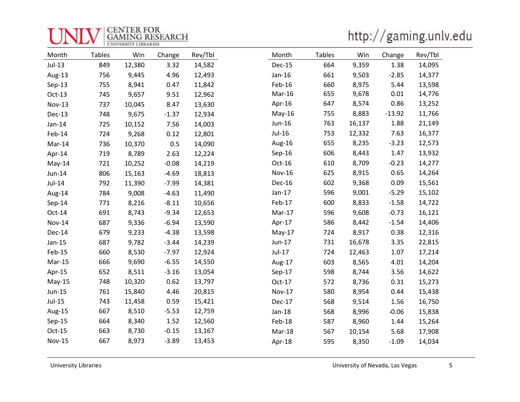| <b>ELCENTER FOR</b><br><b>GAMING RESEARCH</b> |
|-----------------------------------------------|
|                                               |

http://gaming.unlv.edu

| Month         | <b>Tables</b> | Win    | Change  | Rev/Tbl | Month         | <b>Tables</b> | Win    | Change   | Rev/Tbl |
|---------------|---------------|--------|---------|---------|---------------|---------------|--------|----------|---------|
| Jul-13        | 849           | 12,380 | 3.32    | 14,582  | Dec-15        | 664           | 9,359  | 1.38     | 14,095  |
| Aug-13        | 756           | 9,445  | 4.96    | 12,493  | Jan-16        | 661           | 9,503  | $-2.85$  | 14,377  |
| Sep-13        | 755           | 8,941  | 0.47    | 11,842  | Feb-16        | 660           | 8,975  | 5.44     | 13,598  |
| $Oct-13$      | 745           | 9,657  | 9.51    | 12,962  | Mar-16        | 655           | 9,678  | 0.01     | 14,776  |
| <b>Nov-13</b> | 737           | 10,045 | 8.47    | 13,630  | Apr-16        | 647           | 8,574  | 0.86     | 13,252  |
| Dec-13        | 748           | 9,675  | $-1.37$ | 12,934  | May-16        | 755           | 8,883  | $-13.92$ | 11,766  |
| Jan-14        | 725           | 10,152 | 7.56    | 14,003  | Jun-16        | 763           | 16,137 | 1.88     | 21,149  |
| Feb-14        | 724           | 9,268  | 0.12    | 12,801  | $Jul-16$      | 753           | 12,332 | 7.63     | 16,377  |
| Mar-14        | 736           | 10,370 | 0.5     | 14,090  | Aug-16        | 655           | 8,235  | $-3.23$  | 12,573  |
| Apr-14        | 719           | 8,789  | 2.63    | 12,224  | $Sep-16$      | 606           | 8,443  | 1.47     | 13,932  |
| May-14        | 721           | 10,252 | $-0.08$ | 14,219  | Oct-16        | 610           | 8,709  | $-0.23$  | 14,277  |
| Jun-14        | 806           | 15,163 | $-4.69$ | 18,813  | <b>Nov-16</b> | 625           | 8,915  | 0.65     | 14,264  |
| $Jul-14$      | 792           | 11,390 | $-7.99$ | 14,381  | Dec-16        | 602           | 9,368  | 0.09     | 15,561  |
| Aug-14        | 784           | 9,008  | $-4.63$ | 11,490  | $Jan-17$      | 596           | 9,001  | $-5.29$  | 15,102  |
| Sep-14        | 771           | 8,216  | $-8.11$ | 10,656  | Feb-17        | 600           | 8,833  | $-1.58$  | 14,722  |
| Oct-14        | 691           | 8,743  | $-9.34$ | 12,653  | Mar-17        | 596           | 9,608  | $-0.73$  | 16,121  |
| <b>Nov-14</b> | 687           | 9,336  | $-6.94$ | 13,590  | Apr-17        | 586           | 8,442  | $-1.54$  | 14,406  |
| Dec-14        | 679           | 9,233  | $-4.38$ | 13,598  | $May-17$      | 724           | 8,917  | 0.38     | 12,316  |
| $Jan-15$      | 687           | 9,782  | $-3.44$ | 14,239  | Jun-17        | 731           | 16,678 | 3.35     | 22,815  |
| Feb-15        | 660           | 8,530  | $-7.97$ | 12,924  | Jul-17        | 724           | 12,463 | 1.07     | 17,214  |
| Mar-15        | 666           | 9,690  | $-6.55$ | 14,550  | Aug-17        | 603           | 8,565  | 4.01     | 14,204  |
| Apr-15        | 652           | 8,511  | $-3.16$ | 13,054  | $Sep-17$      | 598           | 8,744  | 3.56     | 14,622  |
| May-15        | 748           | 10,320 | 0.62    | 13,797  | Oct-17        | 572           | 8,736  | 0.31     | 15,273  |
| Jun-15        | 761           | 15,840 | 4.46    | 20,815  | <b>Nov-17</b> | 580           | 8,954  | 0.44     | 15,438  |
| Jul-15        | 743           | 11,458 | 0.59    | 15,421  | Dec-17        | 568           | 9,514  | 1.56     | 16,750  |
| Aug-15        | 667           | 8,510  | $-5.53$ | 12,759  | Jan-18        | 568           | 8,996  | $-0.06$  | 15,838  |
| Sep-15        | 664           | 8,340  | 1.52    | 12,560  | Feb-18        | 587           | 8,960  | 1.44     | 15,264  |
| $Oct-15$      | 663           | 8,730  | $-0.15$ | 13,167  | Mar-18        | 567           | 10,154 | 5.68     | 17,908  |
| <b>Nov-15</b> | 667           | 8,973  | $-3.89$ | 13,453  | Apr-18        | 595           | 8,350  | $-1.09$  | 14,034  |